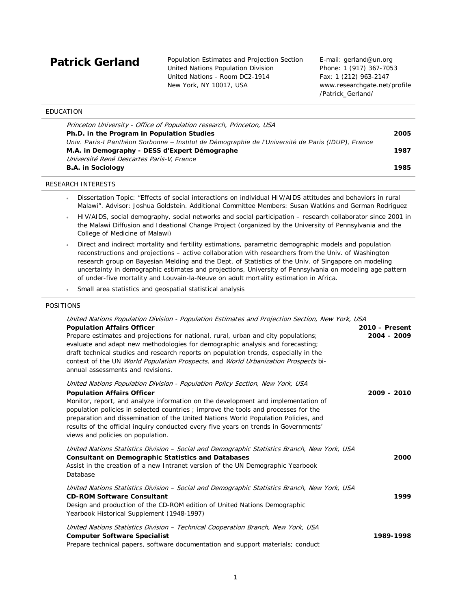Patrick Gerland Population Estimates and Projection Section United Nations Population Division United Nations - Room DC2-1914 New York, NY 10017, USA

E-mail: gerland@un.org Phone: 1 (917) 367-7053 Fax: 1 (212) 963-2147 www.researchgate.net/profile /Patrick\_Gerland/

| EDUCATION                                                                                         |      |
|---------------------------------------------------------------------------------------------------|------|
| Princeton University - Office of Population research, Princeton, USA                              |      |
| Ph.D. in the Program in Population Studies                                                        | 2005 |
| Univ. Paris-l Panthéon Sorbonne – Institut de Démographie de l'Université de Paris (IDUP), France |      |
| M.A. in Demography - DESS d'Expert Démographe                                                     | 1987 |
| Université René Descartes Paris-V, France                                                         |      |
| <b>B.A.</b> in Sociology                                                                          | 1985 |
|                                                                                                   |      |

# RESEARCH INTERESTS

- Dissertation Topic: "Effects of social interactions on individual HIV/AIDS attitudes and behaviors in rural Malawi". Advisor: Joshua Goldstein. Additional Committee Members: Susan Watkins and German Rodriguez
- HIV/AIDS, social demography, social networks and social participation research collaborator since 2001 in the Malawi Diffusion and Ideational Change Project (organized by the University of Pennsylvania and the College of Medicine of Malawi)
- Direct and indirect mortality and fertility estimations, parametric demographic models and population reconstructions and projections – active collaboration with researchers from the Univ. of Washington research group on Bayesian Melding and the Dept. of Statistics of the Univ. of Singapore on modeling uncertainty in demographic estimates and projections, University of Pennsylvania on modeling age pattern of under-five mortality and Louvain-la-Neuve on adult mortality estimation in Africa.
- Small area statistics and geospatial statistical analysis

#### POSITIONS

| United Nations Population Division - Population Estimates and Projection Section, New York, USA                                                                                                                                                                                                                                                                                         |                |
|-----------------------------------------------------------------------------------------------------------------------------------------------------------------------------------------------------------------------------------------------------------------------------------------------------------------------------------------------------------------------------------------|----------------|
| <b>Population Affairs Officer</b>                                                                                                                                                                                                                                                                                                                                                       | 2010 - Present |
| Prepare estimates and projections for national, rural, urban and city populations;<br>evaluate and adapt new methodologies for demographic analysis and forecasting;<br>draft technical studies and research reports on population trends, especially in the<br>context of the UN World Population Prospects, and World Urbanization Prospects bi-<br>annual assessments and revisions. | $2004 - 2009$  |
| United Nations Population Division - Population Policy Section, New York, USA<br><b>Population Affairs Officer</b><br>Monitor, report, and analyze information on the development and implementation of                                                                                                                                                                                 | $2009 - 2010$  |
| population policies in selected countries ; improve the tools and processes for the<br>preparation and dissemination of the United Nations World Population Policies, and<br>results of the official inquiry conducted every five years on trends in Governments'<br>views and policies on population.                                                                                  |                |
| United Nations Statistics Division - Social and Demographic Statistics Branch, New York, USA<br><b>Consultant on Demographic Statistics and Databases</b><br>Assist in the creation of a new Intranet version of the UN Demographic Yearbook<br>Database                                                                                                                                | 2000           |
| United Nations Statistics Division - Social and Demographic Statistics Branch, New York, USA<br><b>CD-ROM Software Consultant</b><br>Design and production of the CD-ROM edition of United Nations Demographic<br>Yearbook Historical Supplement (1948-1997)                                                                                                                            | 1999           |
| United Nations Statistics Division - Technical Cooperation Branch, New York, USA<br><b>Computer Software Specialist</b><br>Prepare technical papers, software documentation and support materials; conduct                                                                                                                                                                              | 1989-1998      |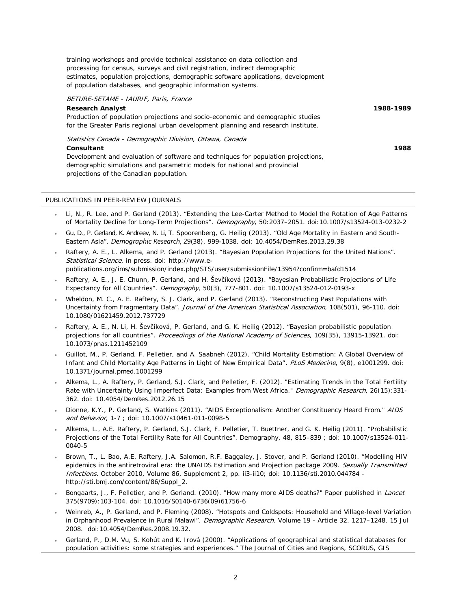training workshops and provide technical assistance on data collection and processing for census, surveys and civil registration, indirect demographic estimates, population projections, demographic software applications, development of population databases, and geographic information systems.

# BETURE-SETAME - IAURIF, Paris, France

# **Research Analyst**

Production of population projections and socio-economic and demographic studies for the Greater Paris regional urban development planning and research institute.

Statistics Canada - Demographic Division, Ottawa, Canada

#### **Consultant**

Development and evaluation of software and techniques for population projections, demographic simulations and parametric models for national and provincial projections of the Canadian population.

# PUBLICATIONS IN PEER-REVIEW JOURNALS

- Li, N., R. Lee, and P. Gerland (2013). "Extending the Lee-Carter Method to Model the Rotation of Age Patterns of Mortality Decline for Long-Term Projections". Demography, 50:2037–2051. doi:10.1007/s13524-013-0232-2
- Gu, D., P. Gerland, K. Andreev, N. Li, T. Spoorenberg, G. Heilig (2013). "Old Age Mortality in Eastern and South-Eastern Asia". *Demographic Research*, 29(38), 999-1038. doi: 10.4054/DemRes.2013.29.38
- Raftery, A. E., L. Alkema, and P. Gerland (2013). "Bayesian Population Projections for the United Nations". Statistical Science, in press. doi: http://www.epublications.org/ims/submission/index.php/STS/user/submissionFile/13954?confirm=bafd1514
- Raftery, A. E., J. E. Chunn, P. Gerland, and H. Ševčíková (2013). "Bayesian Probabilistic Projections of Life Expectancy for All Countries". Demography, 50(3), 777-801. doi: 10.1007/s13524-012-0193-x
- Wheldon, M. C., A. E. Raftery, S. J. Clark, and P. Gerland (2013). "Reconstructing Past Populations with Uncertainty from Fragmentary Data". Journal of the American Statistical Association, 108(501), 96-110. doi: 10.1080/01621459.2012.737729
- Raftery, A. E., N. Li, H. Ševčíková, P. Gerland, and G. K. Heilig (2012). "Bayesian probabilistic population projections for all countries". Proceedings of the National Academy of Sciences, 109(35), 13915-13921. doi: 10.1073/pnas.1211452109
- Guillot, M., P. Gerland, F. Pelletier, and A. Saabneh (2012). "Child Mortality Estimation: A Global Overview of Infant and Child Mortality Age Patterns in Light of New Empirical Data". PLoS Medecine, 9(8), e1001299. doi: 10.1371/journal.pmed.1001299
- Alkema, L., A. Raftery, P. Gerland, S.J. Clark, and Pelletier, F. (2012). "Estimating Trends in the Total Fertility Rate with Uncertainty Using Imperfect Data: Examples from West Africa." Demographic Research, 26(15):331-362. doi: 10.4054/DemRes.2012.26.15
- Dionne, K.Y., P. Gerland, S. Watkins (2011). "AIDS Exceptionalism: Another Constituency Heard From." AIDS and Behavior, 1-7 ; doi: 10.1007/s10461-011-0098-5
- Alkema, L., A.E. Raftery, P. Gerland, S.J. Clark, F. Pelletier, T. Buettner, and G. K. Heilig (2011). "Probabilistic Projections of the Total Fertility Rate for All Countries". Demography, 48, 815–839 ; doi: 10.1007/s13524-011- 0040-5
- Brown, T., L. Bao, A.E. Raftery, J.A. Salomon, R.F. Baggaley, J. Stover, and P. Gerland (2010). "Modelling HIV epidemics in the antiretroviral era: the UNAIDS Estimation and Projection package 2009. Sexually Transmitted Infections. October 2010, Volume 86, Supplement 2, pp. ii3-ii10; doi: 10.1136/sti.2010.044784 http://sti.bmj.com/content/86/Suppl\_2.
- Bongaarts, J., F. Pelletier, and P. Gerland. (2010). "How many more AIDS deaths?" Paper published in Lancet 375(9709):103-104. doi: 10.1016/S0140-6736(09)61756-6
- Weinreb, A., P. Gerland, and P. Fleming (2008). "Hotspots and Coldspots: Household and Village-level Variation in Orphanhood Prevalence in Rural Malawi". Demographic Research. Volume 19 - Article 32. 1217-1248. 15 Jul 2008. doi:10.4054/DemRes.2008.19.32.
- Gerland, P., D.M. Vu, S. Kohút and K. Irová (2000). "Applications of geographical and statistical databases for population activities: some strategies and experiences." The Journal of Cities and Regions, SCORUS, GIS

**1988-1989**

**1988**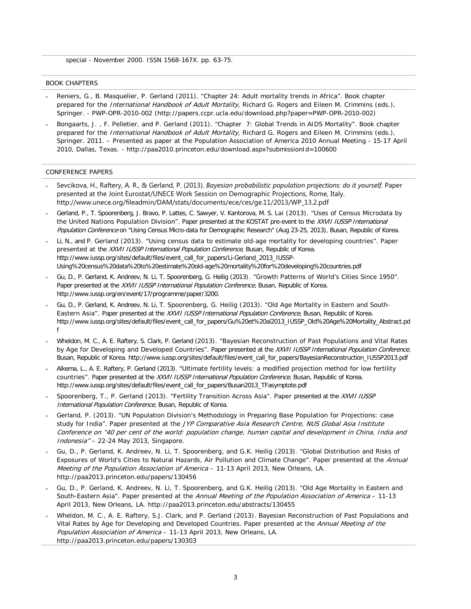special - November 2000. ISSN 1568-167X. pp. 63-75.

#### BOOK CHAPTERS

- Reniers, G., B. Masquelier, P. Gerland (2011). "Chapter 24: Adult mortality trends in Africa". Book chapter prepared for the International Handbook of Adult Mortality, Richard G. Rogers and Eileen M. Crimmins (eds.), Springer. - PWP-OPR-2010-002 (http://papers.ccpr.ucla.edu/download.php?paper=PWP-OPR-2010-002)
- Bongaarts, J. , F. Pelletier, and P. Gerland (2011). "Chapter 7: Global Trends in AIDS Mortality". Book chapter prepared for the *International Handbook of Adult Mortality*, Richard G. Rogers and Eileen M. Crimmins (eds.), Springer. 2011. – Presented as paper at the Population Association of America 2010 Annual Meeting - 15-17 April 2010, Dallas, Texas. - <http://paa2010.princeton.edu/download.aspx?submissionId=100600>

# CONFERENCE PAPERS

- Sevcikova, H., Raftery, A. R., & Gerland, P. (2013). *Bayesian probabilistic population projections: do it yourself.* Paper presented at the Joint Eurostat/UNECE Work Session on Demographic Projections, Rome, Italy. http://www.unece.org/fileadmin/DAM/stats/documents/ece/ces/ge.11/2013/WP\_13.2.pdf
- Gerland, P., T. Spoorenberg, J. Bravo, P. Lattes, C. Sawyer, V. Kantorova, M. S. Lai (2013). "Uses of Census Microdata by the United Nations Population Division". Paper presented at the KOSTAT pre-event to the XXVII IUSSP International Population Conference on "Using Census Micro-data for Demographic Research" (Aug 23-25, 2013), Busan, Republic of Korea.
- Li, N., and P. Gerland (2013). "Using census data to estimate old-age mortality for developing countries". Paper presented at the XXVII IUSSP International Population Conference, Busan, Republic of Korea. http://www.iussp.org/sites/default/files/event\_call\_for\_papers/Li-Gerland\_2013\_IUSSP-Using%20census%20data%20to%20estimate%20old-age%20mortality%20for%20developing%20countries.pdf
- Gu, D., P. Gerland, K. Andreev, N. Li, T. Spoorenberg, G. Heilig (2013). "Growth Patterns of World's Cities Since 1950". Paper presented at the XXVII IUSSP International Population Conference, Busan, Republic of Korea. http://www.iussp.org/en/event/17/programme/paper/3200.
- Gu, D., P. Gerland, K. Andreev, N. Li, T. Spoorenberg, G. Heilig (2013). "Old Age Mortality in Eastern and South-Eastern Asia". Paper presented at the XXVII IUSSP International Population Conference, Busan, Republic of Korea. http://www.iussp.org/sites/default/files/event\_call\_for\_papers/Gu%20et%20al2013\_IUSSP\_Old%20Age%20Mortality\_Abstract.pd f
- Wheldon, M. C., A. E. Raftery, S. Clark, P. Gerland (2013). "Bayesian Reconstruction of Past Populations and Vital Rates by Age for Developing and Developed Countries". Paper presented at the XXVII IUSSP International Population Conference, Busan, Republic of Korea. http://www.iussp.org/sites/default/files/event\_call\_for\_papers/BayesianReconstruction\_IUSSP2013.pdf
- Alkema, L., A. E. Raftery, P. Gerland (2013). "Ultimate fertility levels: a modified projection method for low fertility countries". Paper presented at the XXVII IUSSP International Population Conference, Busan, Republic of Korea. http://www.iussp.org/sites/default/files/event\_call\_for\_papers/Busan2013\_TFasymptote.pdf
- Spoorenberg, T., P. Gerland (2013). "Fertility Transition Across Asia". Paper presented at the XXVII IUSSP International Population Conference, Busan, Republic of Korea.
- Gerland, P. (2013). "UN Population Division's Methodology in Preparing Base Population for Projections: case study for India". Paper presented at the JYP Comparative Asia Research Centre, NUS Global Asia Institute Conference on "40 per cent of the world: population change, human capital and development in China, India and Indonesia" – 22-24 May 2013, Singapore.
- Gu, D., P. Gerland, K. Andreev, N. Li, T. Spoorenberg, and G.K. Heilig (2013). "Global Distribution and Risks of Exposures of World's Cities to Natural Hazards, Air Pollution and Climate Change". Paper presented at the Annual Meeting of the Population Association of America - 11-13 April 2013, New Orleans, LA. http://paa2013.princeton.edu/papers/130456
- Gu, D., P. Gerland, K. Andreev, N. Li, T. Spoorenberg, and G.K. Heilig (2013). "Old Age Mortality in Eastern and South-Eastern Asia". Paper presented at the Annual Meeting of the Population Association of America - 11-13 April 2013, New Orleans, LA. http://paa2013.princeton.edu/abstracts/130455
- Wheldon, M. C., A. E. Raftery, S.J. Clark, and P. Gerland (2013). Bayesian Reconstruction of Past Populations and Vital Rates by Age for Developing and Developed Countries. Paper presented at the Annual Meeting of the Population Association of America – 11-13 April 2013, New Orleans, LA. http://paa2013.princeton.edu/papers/130303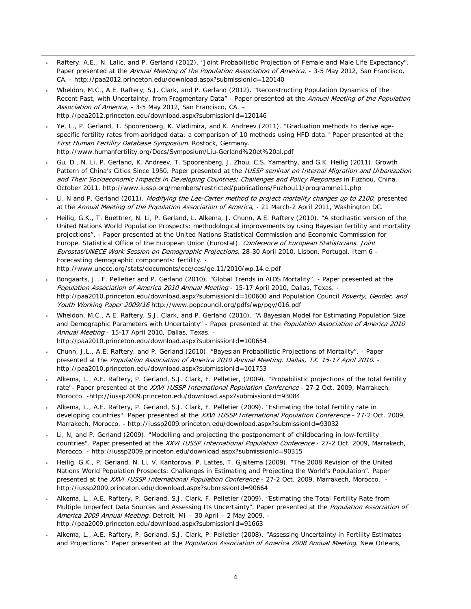- Raftery, A.E., N. Lalic, and P. Gerland (2012). "Joint Probabilistic Projection of Female and Male Life Expectancy". Paper presented at the Annual Meeting of the Population Association of America, - 3-5 May 2012, San Francisco, CA. - http://paa2012.princeton.edu/download.aspx?submissionId=120140
- Wheldon, M.C., A.E. Raftery, S.J. Clark, and P. Gerland (2012). ["Reconstructing Population Dynamics of the](javascript:%20void%20viewAbstract(120146))  [Recent Past, with Uncertainty, from Fragmentary Data"](javascript:%20void%20viewAbstract(120146)) - Paper presented at the Annual Meeting of the Population Association of America, - 3-5 May 2012, San Francisco, CA. <http://paa2012.princeton.edu/download.aspx?submissionId=120146>
- Ye, L., P. Gerland, T. Spoorenberg, K. Vladimira, and K. Andreev (2011). "Graduation methods to derive agespecific fertility rates from abridged data: a comparison of 10 methods using HFD data." Paper presented at the First Human Fertility Database Symposium. Rostock, Germany. http://www.humanfertility.org/Docs/Symposium/Liu-Gerland%20et%20al.pdf
- Gu, D., N. Li, P. Gerland, K. Andreev, T. Spoorenberg, J. Zhou, C.S. Yamarthy, and G.K. Heilig (2011). Growth Pattern of China's Cities Since 1950. Paper presented at the *IUSSP seminar on Internal Migration and Urbanization* and Their Socioeconomic Impacts in Developing Countries: Challenges and Policy Responses in Fuzhou, China. October 2011. http://www.iussp.org/members/restricted/publications/Fuzhou11/programme11.php
- Li, N and P. Gerland (2011). Modifying the Lee-Carter method to project mortality changes up to 2100, presented at the Annual Meeting of the Population Association of America, - 21 March-2 April 2011, Washington DC.
- Heilig, G.K., T. Buettner, N. Li, P. Gerland, L. Alkema, J. Chunn, A.E. Raftery (2010). "A stochastic version of the United Nations World Population Prospects: methodological improvements by using Bayesian fertility and mortality projections". - Paper presented at the United Nations Statistical Commission and Economic Commission for Europe. Statistical Office of the European Union (Eurostat). Conference of European Statisticians. Joint Eurostat/UNECE Work Session on Demographic Projections. 28-30 April 2010, Lisbon, Portugal. Item 6 – Forecasting demographic components: fertility. <http://www.unece.org/stats/documents/ece/ces/ge.11/2010/wp.14.e.pdf>
- Bongaarts, J., F. Pelletier and P. Gerland (2010). "Global Trends in AIDS Mortality". Paper presented at the Population Association of America 2010 Annual Meeting - 15-17 April 2010, Dallas, Texas. <http://paa2010.princeton.edu/download.aspx?submissionId=100600> and Population Council Poverty, Gender, and Youth Working Paper 2009/16 http://www.popcouncil.org/pdfs/wp/pgy/016.pdf
- Wheldon, M.C., A.E. Raftery, S.J. Clark, and P. Gerland (2010). "A Bayesian Model for Estimating Population Size and Demographic Parameters with Uncertainty" - Paper presented at the Population Association of America 2010 Annual Meeting - 15-17 April 2010, Dallas, Texas. <http://paa2010.princeton.edu/download.aspx?submissionId=100654>
- Chunn, J.L., A.E. Raftery, and P. Gerland (2010). "Bayesian Probabilistic Projections of Mortality". Paper presented at the Population Association of America 2010 Annual Meeting. Dallas, TX. 15-17 April 2010. <http://paa2010.princeton.edu/download.aspx?submissionId=101753>
- Alkema, L., A.E. Raftery, P. Gerland, S.J. Clark, F. Pelletier, (2009). "Probabilistic projections of the total fertility rate"- Paper presented at the XXVI IUSSP International Population Conference - 27-2 Oct. 2009, Marrakech, Morocco. -http://iussp2009.princeton.edu/download.aspx?submissionId=93084
- Alkema, L., A.E. Raftery, P. Gerland, S.J. Clark, F. Pelletier (2009). "Estimating the total fertility rate in developing countries". Paper presented at the XXVI IUSSP International Population Conference - 27-2 Oct. 2009, Marrakech, Morocco. - http://iussp2009.princeton.edu/download.aspx?submissionId=93032
- Li, N, and P. Gerland (2009). "Modelling and projecting the postponement of childbearing in low-fertility countries". Paper presented at the XXVI IUSSP International Population Conference - 27-2 Oct. 2009, Marrakech, Morocco. - http://iussp2009.princeton.edu/download.aspx?submissionId=90315
- Heilig, G.K., P. Gerland, N. Li, V. Kantorova, P. Lattes, T. Gjaltema (2009). "The 2008 Revision of the United Nations World Population Prospects: Challenges in Estimating and Projecting the World's Population". Paper presented at the XXVI IUSSP International Population Conference - 27-2 Oct. 2009, Marrakech, Morocco. <http://iussp2009.princeton.edu/download.aspx?submissionId=90664>
- Alkema, L., A.E. Raftery, P. Gerland, S.J. Clark, F. Pelletier (2009). "Estimating the Total Fertility Rate from Multiple Imperfect Data Sources and Assessing Its Uncertainty". Paper presented at the Population Association of America 2009 Annual Meeting. Detroit, MI – 30 April – 2 May 2009. http://paa2009.princeton.edu/download.aspx?submissionId=91663
- Alkema, L., A.E. Raftery, P. Gerland, S.J. Clark, P. Pelletier (2008). "Assessing Uncertainty in Fertility Estimates and Projections". Paper presented at the *Population Association of America 2008 Annual Meeting*. New Orleans,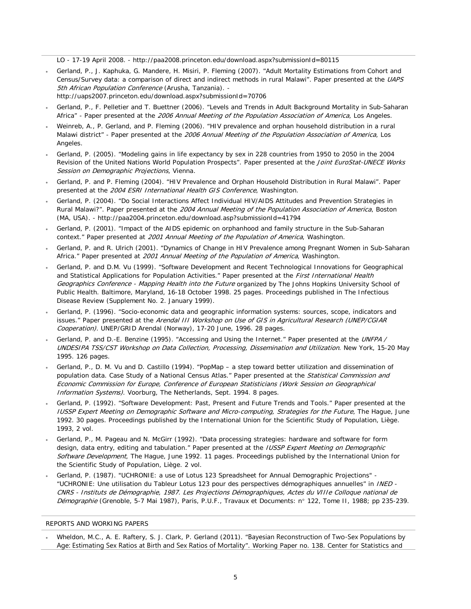LO - 17-19 April 2008. - http://paa2008.princeton.edu/download.aspx?submissionId=80115

- Gerland, P., J. Kaphuka, G. Mandere, H. Misiri, P. Fleming (2007). "Adult Mortality Estimations from Cohort and Census/Survey data: a comparison of direct and indirect methods in rural Malawi". Paper presented at the UAPS 5th African Population Conference (Arusha, Tanzania). http://uaps2007.princeton.edu/download.aspx?submissionId=70706
- Gerland, P., F. Pelletier and T. Buettner (2006). "Levels and Trends in Adult Background Mortality in Sub-Saharan Africa" - Paper presented at the 2006 Annual Meeting of the Population Association of America, Los Angeles.
- Weinreb, A., P. Gerland, and P. Fleming (2006). "HIV prevalence and orphan household distribution in a rural Malawi district" - Paper presented at the 2006 Annual Meeting of the Population Association of America, Los Angeles.
- Gerland, P. (2005). "Modeling gains in life expectancy by sex in 228 countries from 1950 to 2050 in the 2004 Revision of the United Nations World Population Prospects". Paper presented at the *Joint EuroStat-UNECE Works* Session on Demographic Projections, Vienna.
- Gerland, P. and P. Fleming (2004). "HIV Prevalence and Orphan Household Distribution in Rural Malawi". Paper presented at the 2004 ESRI International Health GIS Conference, Washington.
- Gerland, P. (2004). ["Do Social Interactions Affect Individual HIV/AIDS Attitudes and Prevention Strategies in](http://paa2004.princeton.edu/abstractViewer.asp?submissionId=41794)  [Rural Malawi?"](http://paa2004.princeton.edu/abstractViewer.asp?submissionId=41794). Paper presented at the 2004 Annual Meeting of the Population Association of America, Boston (MA, USA). - http://paa2004.princeton.edu/download.asp?submissionId=41794
- Gerland, P. (2001). "Impact of the AIDS epidemic on orphanhood and family structure in the Sub-Saharan context." Paper presented at 2001 Annual Meeting of the Population of America, Washington.
- Gerland, P. and R. Ulrich (2001). "Dynamics of Change in HIV Prevalence among Pregnant Women in Sub-Saharan Africa." Paper presented at 2001 Annual Meeting of the Population of America, Washington.
- Gerland, P. and D.M. Vu (1999). "Software Development and Recent Technological Innovations for Geographical and Statistical Applications for Population Activities." Paper presented at the First International Health Geographics Conference - Mapping Health into the Future organized by The Johns Hopkins University School of Public Health. Baltimore, Maryland, 16-18 October 1998. 25 pages. Proceedings published in The Infectious Disease Review (Supplement No. 2. January 1999).
- Gerland, P. (1996). "Socio-economic data and geographic information systems: sources, scope, indicators and issues." Paper presented at the Arendal III Workshop on Use of GIS in Agricultural Research (UNEP/CGIAR Cooperation). UNEP/GRID Arendal (Norway), 17-20 June, 1996. 28 pages.
- Gerland, P. and D.-E. Benzine (1995). "Accessing and Using the Internet." Paper presented at the UNFPA / UNDESIPA TSS/CST Workshop on Data Collection, Processing, Dissemination and Utilization. New York, 15-20 May 1995. 126 pages.
- Gerland, P., D. M. Vu and D. Castillo (1994). "PopMap a step toward better utilization and dissemination of population data. Case Study of a National Census Atlas." Paper presented at the Statistical Commission and Economic Commission for Europe, Conference of European Statisticians (Work Session on Geographical Information Systems). Voorburg, The Netherlands, Sept. 1994. 8 pages.
- Gerland, P. (1992). "Software Development: Past, Present and Future Trends and Tools." Paper presented at the IUSSP Expert Meeting on Demographic Software and Micro-computing, Strategies for the Future, The Hague, June 1992. 30 pages. Proceedings published by the International Union for the Scientific Study of Population, Liège. 1993, 2 vol.
- Gerland, P., M. Pageau and N. McGirr (1992). "Data processing strategies: hardware and software for form design, data entry, editing and tabulation." Paper presented at the IUSSP Expert Meeting on Demographic Software Development, The Hague, June 1992. 11 pages. Proceedings published by the International Union for the Scientific Study of Population, Liège. 2 vol.
- Gerland, P. (1987). "UCHRONIE: a use of Lotus 123 Spreadsheet for Annual Demographic Projections" "UCHRONIE: Une utilisation du Tableur Lotus 123 pour des perspectives démographiques annuelles" in INED - CNRS - Instituts de Démographie, 1987. Les Projections Démographiques, Actes du VIIIe Colloque national de Démographie (Grenoble, 5-7 Mai 1987), Paris, P.U.F., Travaux et Documents: n° 122, Tome II, 1988; pp 235-239.

# REPORTS AND WORKING PAPERS

• Wheldon, M.C., A. E. Raftery, S. J. Clark, P. Gerland (2011). "Bayesian Reconstruction of Two-Sex Populations by Age: Estimating Sex Ratios at Birth and Sex Ratios of Mortality". Working Paper no. 138. Center for Statistics and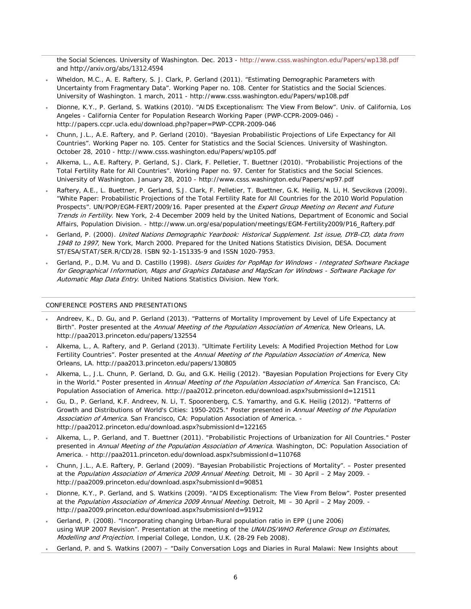the Social Sciences. University of Washington. Dec. 2013 - <http://www.csss.washington.edu/Papers/wp138.pdf> and http://arxiv.org/abs/1312.4594

- Wheldon, M.C., A. E. Raftery, S. J. Clark, P. Gerland (2011). "Estimating Demographic Parameters with Uncertainty from Fragmentary Data". Working Paper no. 108. Center for Statistics and the Social Sciences. University of Washington. 1 march, 2011 - http://www.csss.washington.edu/Papers/wp108.pdf
- Dionne, K.Y., P. Gerland, S. Watkins (2010). "AIDS Exceptionalism: The View From Below". Univ. of California, Los Angeles - California Center for Population Research Working Paper (PWP-CCPR-2009-046) <http://papers.ccpr.ucla.edu/download.php?paper=PWP-CCPR-2009-046>
- Chunn, J.L., A.E. Raftery, and P. Gerland (2010). "Bayesian Probabilistic Projections of Life Expectancy for All Countries". Working Paper no. 105. Center for Statistics and the Social Sciences. University of Washington. October 28, 2010 - http://www.csss.washington.edu/Papers/wp105.pdf
- Alkema, L., A.E. Raftery, P. Gerland, S.J. Clark, F. Pelletier, T. Buettner (2010). "Probabilistic Projections of the Total Fertility Rate for All Countries". Working Paper no. 97. Center for Statistics and the Social Sciences. University of Washington. January 28, 2010 - <http://www.csss.washington.edu/Papers/wp97.pdf>
- Raftery, A.E., L. Buettner, P. Gerland, S.J. Clark, F. Pelletier, T. Buettner, G.K. Heilig, N. Li, H. Sevcikova (2009). "White Paper: Probabilistic Projections of the Total Fertility Rate for All Countries for the 2010 World Population Prospects". UN/POP/EGM-FERT/2009/16. Paper presented at the Expert Group Meeting on Recent and Future Trends in Fertility. New York, 2-4 December 2009 held by the United Nations, Department of Economic and Social Affairs, Population Division. - http://www.un.org/esa/population/meetings/EGM-Fertility2009/P16\_Raftery.pdf
- Gerland, P. (2000). United Nations Demographic Yearbook: Historical Supplement. 1st issue, DYB-CD, data from 1948 to 1997, New York, March 2000. Prepared for the United Nations Statistics Division, DESA. Document ST/ESA/STAT/SER.R/CD/28. ISBN 92-1-151335-9 and ISSN 1020-7953.
- Gerland, P., D.M. Vu and D. Castillo (1998). Users Guides for PopMap for Windows Integrated Software Package for Geographical Information, Maps and Graphics Database and MapScan for Windows - Software Package for Automatic Map Data Entry. United Nations Statistics Division. New York.

## CONFERENCE POSTERS AND PRESENTATIONS

- Andreev, K., D. Gu, and P. Gerland (2013). "Patterns of Mortality Improvement by Level of Life Expectancy at Birth". Poster presented at the Annual Meeting of the Population Association of America, New Orleans, LA. http://paa2013.princeton.edu/papers/132554
- Alkema, L., A. Raftery, and P. Gerland (2013). "Ultimate Fertility Levels: A Modified Projection Method for Low Fertility Countries". Poster presented at the Annual Meeting of the Population Association of America, New Orleans, LA. http://paa2013.princeton.edu/papers/130805
- Alkema, L., J.L. Chunn, P. Gerland, D. Gu, and G.K. Heilig (2012). "Bayesian Population Projections for Every City in the World." Poster presented in Annual Meeting of the Population Association of America. San Francisco, CA: Population Association of America. http://paa2012.princeton.edu/download.aspx?submissionId=121511
- Gu, D., P. Gerland, K.F. Andreev, N. Li, T. Spoorenberg, C.S. Yamarthy, and G.K. Heilig (2012). "Patterns of Growth and Distributions of World's Cities: 1950-2025." Poster presented in Annual Meeting of the Population Association of America. San Francisco, CA: Population Association of America. http://paa2012.princeton.edu/download.aspx?submissionId=122165
- Alkema, L., P. Gerland, and T. Buettner (2011). "Probabilistic Projections of Urbanization for All Countries." Poster presented in Annual Meeting of the Population Association of America. Washington, DC: Population Association of America. - http://paa2011.princeton.edu/download.aspx?submissionId=110768
- Chunn, J.L., A.E. Raftery, P. Gerland (2009). "Bayesian Probabilistic Projections of Mortality". Poster presented at the Population Association of America 2009 Annual Meeting. Detroit, MI - 30 April - 2 May 2009. http://paa2009.princeton.edu/download.aspx?submissionId=90851
- Dionne, K.Y., P. Gerland, and S. Watkins (2009). "AIDS Exceptionalism: The View From Below". Poster presented at the Population Association of America 2009 Annual Meeting. Detroit, MI – 30 April – 2 May 2009. http://paa2009.princeton.edu/download.aspx?submissionId=91912
- Gerland, P. (2008). "Incorporating changing Urban-Rural population ratio in EPP (June 2006) using WUP 2007 Revision". Presentation at the meeting of the UNAIDS/WHO Reference Group on Estimates, Modelling and Projection. Imperial College, London, U.K. (28-29 Feb 2008).
- Gerland, P. and S. Watkins (2007) "Daily Conversation Logs and Diaries in Rural Malawi: New Insights about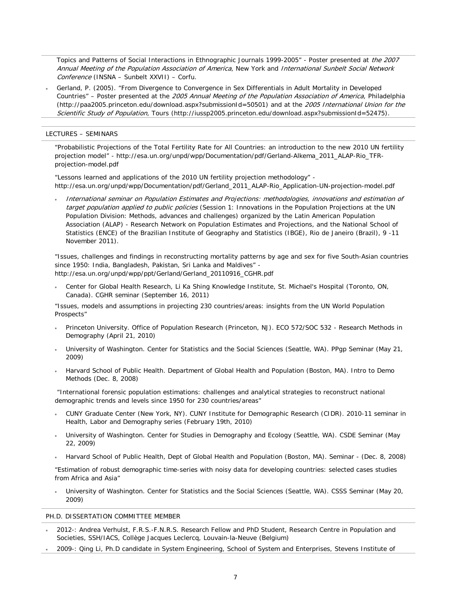Topics and Patterns of Social Interactions in Ethnographic Journals 1999-2005" - Poster presented at the 2007 Annual Meeting of the Population Association of America, New York and International Sunbelt Social Network Conference (INSNA – Sunbelt XXVII) – Corfu.

• Gerland, P. (2005). ["From Divergence to Convergence in Sex Differentials in Adult Mortality in Developed](http://paa2005.princeton.edu/abstractViewer.aspx?submissionId=50501)  [Countries"](http://paa2005.princeton.edu/abstractViewer.aspx?submissionId=50501) – Poster presented at the 2005 Annual Meeting of the Population Association of America, Philadelphia (http://paa2005.princeton.edu/download.aspx?submissionId=50501) and at the 2005 International Union for the Scientific Study of Population, Tours (http://iussp2005.princeton.edu/download.aspx?submissionId=52475).

# LECTURES – SEMINARS

"Probabilistic Projections of the Total Fertility Rate for All Countries: an introduction to the new 2010 UN fertility projection model" - [http://esa.un.org/unpd/wpp/Documentation/pdf/Gerland-Alkema\\_2011\\_ALAP-Rio\\_TFR](http://esa.un.org/unpd/wpp/Documentation/pdf/Gerland-Alkema_2011_ALAP-Rio_TFR-projection-model.pdf)[projection-model.pdf](http://esa.un.org/unpd/wpp/Documentation/pdf/Gerland-Alkema_2011_ALAP-Rio_TFR-projection-model.pdf)

"Lessons learned and applications of the 2010 UN fertility projection methodology" [http://esa.un.org/unpd/wpp/Documentation/pdf/Gerland\\_2011\\_ALAP-Rio\\_Application-UN-projection-model.pdf](http://esa.un.org/unpd/wpp/Documentation/pdf/Gerland_2011_ALAP-Rio_Application-UN-projection-model.pdf)

• International seminar on Population Estimates and Projections: methodologies, innovations and estimation of target population applied to public policies (Session 1: Innovations in the Population Projections at the UN Population Division: Methods, advances and challenges) organized by the Latin American Population Association (ALAP) - Research Network on Population Estimates and Projections, and the National School of Statistics (ENCE) of the Brazilian Institute of Geography and Statistics (IBGE), Rio de Janeiro (Brazil), 9 -11 November 2011).

"Issues, challenges and findings in reconstructing mortality patterns by age and sex for five South-Asian countries since 1950: India, Bangladesh, Pakistan, Sri Lanka and Maldives" [http://esa.un.org/unpd/wpp/ppt/Gerland/Gerland\\_20110916\\_CGHR.pdf](http://esa.un.org/unpd/wpp/ppt/Gerland/Gerland_20110916_CGHR.pdf)

• Center for Global Health Research, Li Ka Shing Knowledge Institute, St. Michael's Hospital (Toronto, ON, Canada). CGHR seminar (September 16, 2011)

"Issues, models and assumptions in projecting 230 countries/areas: insights from the UN World Population Prospects"

- Princeton University. Office of Population Research (Princeton, NJ). ECO 572/SOC 532 Research Methods in Demography (April 21, 2010)
- University of Washington. Center for Statistics and the Social Sciences (Seattle, WA). PPgp Seminar (May 21, 2009)
- Harvard School of Public Health. Department of Global Health and Population (Boston, MA). Intro to Demo Methods (Dec. 8, 2008)

"International forensic population estimations: challenges and analytical strategies to reconstruct national demographic trends and levels since 1950 for 230 countries/areas"

- CUNY Graduate Center (New York, NY). CUNY Institute for Demographic Research (CIDR). 2010-11 seminar in Health, Labor and Demography series (February 19th, 2010)
- University of Washington. Center for Studies in Demography and Ecology (Seattle, WA). CSDE Seminar (May 22, 2009)
- Harvard School of Public Health, Dept of Global Health and Population (Boston, MA). Seminar (Dec. 8, 2008)

"Estimation of robust demographic time-series with noisy data for developing countries: selected cases studies from Africa and Asia"

• University of Washington. Center for Statistics and the Social Sciences (Seattle, WA). CSSS Seminar (May 20, 2009)

## PH.D. DISSERTATION COMMITTEE MEMBER

- 2012-: Andrea Verhulst, F.R.S.-F.N.R.S. Research Fellow and PhD Student, Research Centre in Population and Societies, SSH/IACS, Collège Jacques Leclercq, Louvain-la-Neuve (Belgium)
- 2009-: Qing Li, Ph.D candidate in System Engineering, School of System and Enterprises, Stevens Institute of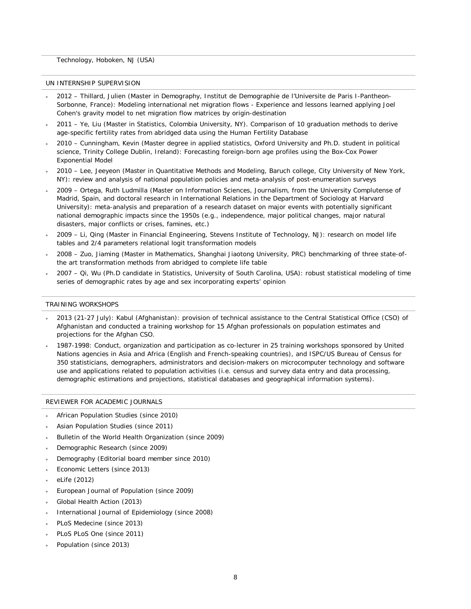Technology, Hoboken, NJ (USA)

#### UN INTERNSHIP SUPERVISION

- 2012 Thillard, Julien (Master in Demography, Institut de Demographie de l'Universite de Paris I-Pantheon-Sorbonne, France): Modeling international net migration flows - Experience and lessons learned applying Joel Cohen's gravity model to net migration flow matrices by origin-destination
- 2011 Ye, Liu (Master in Statistics, Colombia University, NY). Comparison of 10 graduation methods to derive age-specific fertility rates from abridged data using the Human Fertility Database
- 2010 Cunningham, Kevin (Master degree in applied statistics, Oxford University and Ph.D. student in political science, Trinity College Dublin, Ireland): Forecasting foreign-born age profiles using the Box-Cox Power Exponential Model
- 2010 Lee, Jeeyeon (Master in Quantitative Methods and Modeling, Baruch college, City University of New York, NY): review and analysis of national population policies and meta-analysis of post-enumeration surveys
- 2009 Ortega, Ruth Ludmilla (Master on Information Sciences, Journalism, from the University Complutense of Madrid, Spain, and doctoral research in International Relations in the Department of Sociology at Harvard University): meta-analysis and preparation of a research dataset on major events with potentially significant national demographic impacts since the 1950s (e.g., independence, major political changes, major natural disasters, major conflicts or crises, famines, etc.)
- 2009 Li, Qing (Master in Financial Engineering, Stevens Institute of Technology, NJ): research on model life tables and 2/4 parameters relational logit transformation models
- 2008 Zuo, Jiaming (Master in Mathematics, Shanghai Jiaotong University, PRC) benchmarking of three state-ofthe art transformation methods from abridged to complete life table
- 2007 Qi, Wu (Ph.D candidate in Statistics, University of South Carolina, USA): robust statistical modeling of time series of demographic rates by age and sex incorporating experts' opinion

#### TRAINING WORKSHOPS

- 2013 (21-27 July): Kabul (Afghanistan): provision of technical assistance to the Central Statistical Office (CSO) of Afghanistan and conducted a training workshop for 15 Afghan professionals on population estimates and projections for the Afghan CSO.
- 1987-1998: Conduct, organization and participation as co-lecturer in 25 training workshops sponsored by United Nations agencies in Asia and Africa (English and French-speaking countries), and ISPC/US Bureau of Census for 350 statisticians, demographers, administrators and decision-makers on microcomputer technology and software use and applications related to population activities (i.e. census and survey data entry and data processing, demographic estimations and projections, statistical databases and geographical information systems).

## REVIEWER FOR ACADEMIC JOURNALS

- African Population Studies (since 2010)
- Asian Population Studies (since 2011)
- Bulletin of the World Health Organization (since 2009)
- Demographic Research (since 2009)
- Demography (Editorial board member since 2010)
- Economic Letters (since 2013)
- eLife (2012)
- European Journal of Population (since 2009)
- Global Health Action (2013)
- International Journal of Epidemiology (since 2008)
- PLoS Medecine (since 2013)
- PLoS PLoS One (since 2011)
- Population (since 2013)